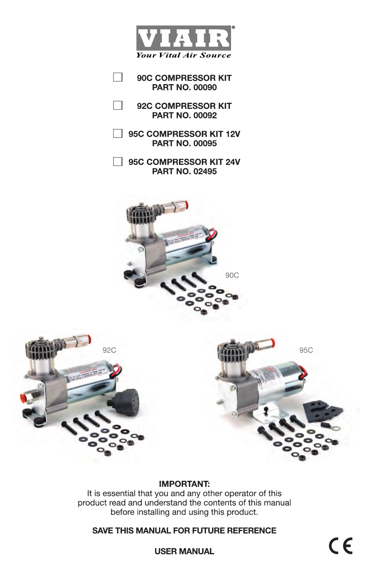

 $\Box$ 90C COMPRESSOR KIT **PART NO. 00090** 

П 92C COMPRESSOR KIT **PART NO. 00092** 

□ 95C COMPRESSOR KIT 12V **PART NO. 00095** 

95C COMPRESSOR KIT 24V **PART NO. 02495** 







# **IMPORTANT:**

It is essential that you and any other operator of this product read and understand the contents of this manual before installing and using this product.

**SAVE THIS MANUAL FOR FUTURE REFERENCE**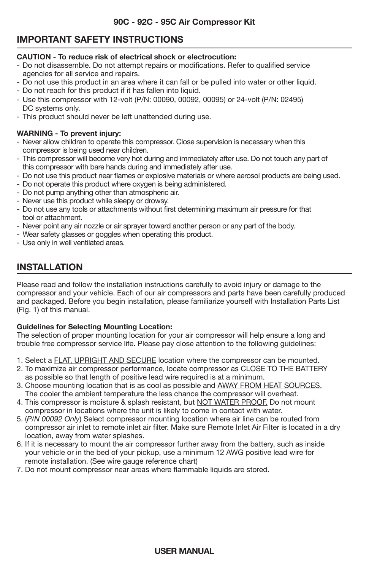# **IMPORTANT SAFETY INSTRUCTIONS**

#### **CAUTION - To reduce risk of electrical shock or electrocution:**

- Do not disassemble. Do not attempt repairs or modifications. Refer to qualified service agencies for all service and repairs.
- Do not use this product in an area where it can fall or be pulled into water or other liquid.
- Do not reach for this product if it has fallen into liquid.
- $-$  Use this compressor with 12-volt (P/N; 00090, 00092, 00095) or 24-volt (P/N; 02495) DC systems only.
- This product should never be left unattended during use.

## **WARNING - To prevent injury:**

- Never allow children to operate this compressor. Close supervision is necessary when this compressor is being used near children.
- This compressor will become very hot during and immediately after use. Do not touch any part of this compressor with bare hands during and immediately after use.
- Do not use this product near flames or explosive materials or where aerosol products are being used.
- Do not operate this product where oxygen is being administered.
- Do not pump anything other than atmospheric air.
- Never use this product while sleepy or drowsy.
- Do not use any tools or attachments without first determining maximum air pressure for that tool or attachment.
- Never point any air nozzle or air sprayer toward another person or any part of the body.
- Wear safety glasses or goggles when operating this product.
- Use only in well ventilated areas.

# **INSTALLATION**

Please read and follow the installation instructions carefully to avoid injury or damage to the compressor and your vehicle. Each of our air compressors and parts have been carefully produced and packaged. Before you begin installation, please familiarize yourself with Installation Parts List (Fig. 1) of this manual.

## **Guidelines for Selecting Mounting Location:**

The selection of proper mounting location for your air compressor will help ensure a long and trouble free compressor service life. Please pay close attention to the following guidelines:

- 1. Select a FLAT, UPRIGHT AND SECURE location where the compressor can be mounted.
- 2. To maximize air compressor performance, locate compressor as CLOSE TO THE BATTERY as possible so that length of positive lead wire required is at a minimum.
- 3. Choose mounting location that is as cool as possible and AWAY FROM HEAT SOURCES. The cooler the ambient temperature the less chance the compressor will overheat.
- 4. This compressor is moisture & splash resistant, but NOT WATER PROOF. Do not mount compressor in locations where the unit is likely to come in contact with water.
- 5. (*P/N 00092 Only*) Select compressor mounting location where air line can be routed from compressor air inlet to remote inlet air filter. Make sure Remote Inlet Air Filter is located in a dry location, away from water splashes.
- 6. If it is necessary to mount the air compressor further away from the battery, such as inside your vehicle or in the bed of your pickup, use a minimum 12 AWG positive lead wire for remote installation. (See wire gauge reference chart)
- 7. Do not mount compressor near areas where flammable liquids are stored.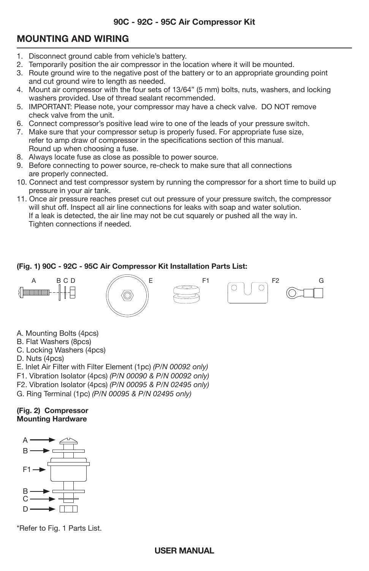# **MOUNTING AND WIRING**

- 1. Disconnect ground cable from vehicle's battery.
- 2. Temporarily position the air compressor in the location where it will be mounted.
- 3. Route ground wire to the negative post of the battery or to an appropriate grounding point and cut ground wire to length as needed.
- 4. Mount air compressor with the four sets of 13/64" (5 mm) bolts, nuts, washers, and locking washers provided. Use of thread sealant recommended.
- 5. IMPORTANT: Please note, your compressor may have a check valve. DO NOT remove check valve from the unit.
- 6. Connect compressor's positive lead wire to one of the leads of your pressure switch.
- 7. Make sure that your compressor setup is properly fused. For appropriate fuse size, refer to amp draw of compressor in the specifications section of this manual. Round up when choosing a fuse.
- 8. Always locate fuse as close as possible to power source.
- 9. Before connecting to power source, re-check to make sure that all connections are properly connected.
- 10. Connect and test compressor system by running the compressor for a short time to build up pressure in your air tank.
- 11. Once air pressure reaches preset cut out pressure of your pressure switch, the compressor will shut off. Inspect all air line connections for leaks with soap and water solution. If a leak is detected, the air line may not be cut squarely or pushed all the way in. Tighten connections if needed.

## **(Fig. 1) 90C - 92C - 95C Air Compressor Kit Installation Parts List:**



A. Mounting Bolts (4pcs)

- B. Flat Washers (8pcs)
- C. Locking Washers (4pcs)
- D. Nuts (4pcs)
- E. Inlet Air Filter with Filter Element (1pc) *(P/N 00092 only)*
- F1. Vibration Isolator (4pcs) *(P/N 00090 & P/N 00092 only)*
- F2. Vibration Isolator (4pcs) *(P/N 00095 & P/N 02495 only)*
- G. Ring Terminal (1pc) *(P/N 00095 & P/N 02495 only)*

#### **(Fig. 2) Compressor Mounting Hardware**



\*Refer to Fig. 1 Parts List.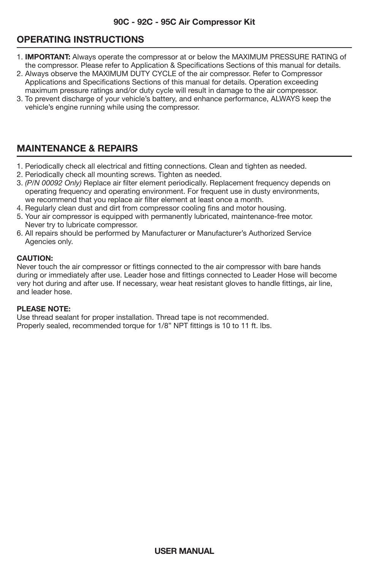# **OPERATING INSTRUCTIONS**

- j 1. **IMPORTANT:** Always operate the compressor at or below the MAXIMUM PRESSURE RATING of the compressor. Please refer to Application & Specifications Sections of this manual for details.
- 2. Always observe the MAXIMUM DUTY CYCLE of the air compressor. Refer to Compressor Applications and Specifications Sections of this manual for details. Operation exceeding maximum pressure ratings and/or duty cycle will result in damage to the air compressor.
- 3. To prevent discharge of your vehicle's battery, and enhance performance, ALWAYS keep the vehicle's engine running while using the compressor.

# **MAINTENANCE & REPAIRS**

- 1. Periodically check all electrical and fitting connections. Clean and tighten as needed.
- 2. Periodically check all mounting screws. Tighten as needed.
- 3. *(P/N 00092 Only)* Replace air filter element periodically. Replacement frequency depends on operating frequency and operating environment. For frequent use in dusty environments, we recommend that you replace air filter element at least once a month.
- 4. Regularly clean dust and dirt from compressor cooling fins and motor housing.
- 5. Your air compressor is equipped with permanently lubricated, maintenance-free motor. Never try to lubricate compressor.
- 6. All repairs should be performed by Manufacturer or Manufacturer's Authorized Service Agencies only.

## **CAUTION:**

Never touch the air compressor or fittings connected to the air compressor with bare hands during or immediately after use. Leader hose and fittings connected to Leader Hose will become very hot during and after use. If necessary, wear heat resistant gloves to handle fittings, air line, and leader hose.

## **PLEASE NOTE:**

Use thread sealant for proper installation. Thread tape is not recommended. Properly sealed, recommended torque for 1/8" NPT fittings is 10 to 11 ft. lbs.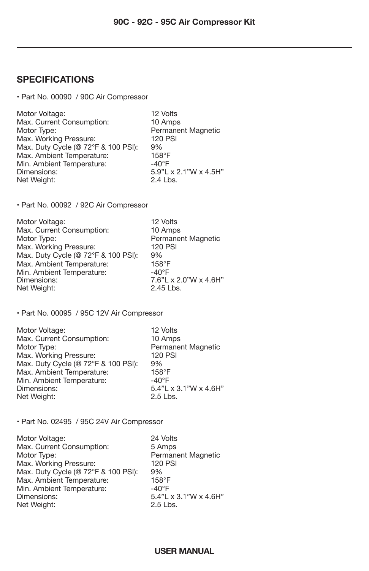# **SPECIFICATIONS**

• Part No. 00090 / 90C Air Compressor

| Motor Voltage:                      | 12 Volts              |
|-------------------------------------|-----------------------|
| Max. Current Consumption:           | 10 Amps               |
| Motor Type:                         | Permanent Magnetic    |
| Max. Working Pressure:              | <b>120 PSI</b>        |
| Max. Duty Cycle (@ 72°F & 100 PSI): | 9%                    |
| Max. Ambient Temperature:           | $158^\circ F$         |
| Min. Ambient Temperature:           | $-40^{\circ}$ F       |
| Dimensions:                         | 5.9"L x 2.1"W x 4.5H" |
| Net Weight:                         | 2.4 Lbs.              |

• Part No. 00092 / 92C Air Compressor

| Motor Voltage:                      | 12 Volts              |
|-------------------------------------|-----------------------|
| Max. Current Consumption:           | 10 Amps               |
| Motor Type:                         | Permanent Magnetic    |
| Max. Working Pressure:              | <b>120 PSI</b>        |
| Max. Duty Cycle (@ 72°F & 100 PSI): | 9%                    |
| Max. Ambient Temperature:           | $158^\circ F$         |
| Min. Ambient Temperature:           | $-40^{\circ}$ F       |
| Dimensions:                         | 7.6"L x 2.0"W x 4.6H" |
| Net Weight:                         | 2.45 Lbs.             |

• Part No. 00095 / 95C 12V Air Compressor

| Motor Voltage:                      | 12 Volts              |
|-------------------------------------|-----------------------|
| Max. Current Consumption:           | 10 Amps               |
| Motor Type:                         | Permanent Magnetic    |
| Max. Working Pressure:              | <b>120 PSI</b>        |
| Max. Duty Cycle (@ 72°F & 100 PSI): | 9%                    |
| Max. Ambient Temperature:           | $158^\circ F$         |
| Min. Ambient Temperature:           | $-40^{\circ}$ F       |
| Dimensions:                         | 5.4"L x 3.1"W x 4.6H" |
| Net Weight:                         | 2.5 Lbs.              |

• Part No. 02495 / 95C 24V Air Compressor

| 24 Volts              |
|-----------------------|
| 5 Amps                |
| Permanent Magnetic    |
| <b>120 PSI</b>        |
| 9%                    |
| $158^\circ F$         |
| $-40^{\circ}$ F       |
| 5.4"L x 3.1"W x 4.6H" |
| 2.5 Lbs.              |
|                       |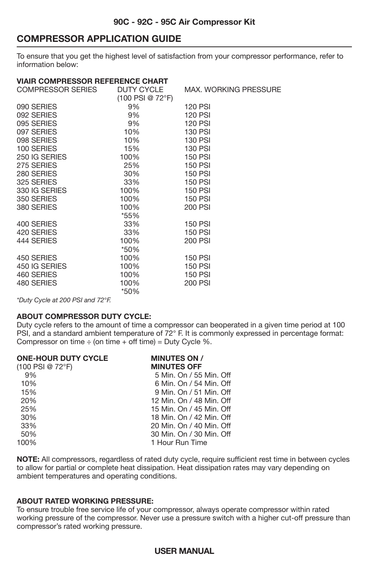# **COMPRESSOR APPLICATION GUIDE**

To ensure that you get the highest level of satisfaction from your compressor performance, refer to information below:

## **VIAIR COMPRESSOR REFERENCE CHART**

| COMPRESSOR SERIES | DUTY CYCLE         | <b>MAX. WORKING PRESSURE</b> |
|-------------------|--------------------|------------------------------|
|                   | $(100$ PSI @ 72°F) |                              |
| 090 SERIES        | 9%                 | <b>120 PSI</b>               |
| 092 SERIES        | 9%                 | <b>120 PSI</b>               |
| 095 SERIES        | 9%                 | <b>120 PSI</b>               |
| 097 SERIES        | 10%                | 130 PSI                      |
| 098 SERIES        | 10%                | <b>130 PSI</b>               |
| 100 SERIES        | 15%                | 130 PSI                      |
| 250 IG SERIES     | 100%               | <b>150 PSI</b>               |
| 275 SERIES        | 25%                | <b>150 PSI</b>               |
| 280 SERIES        | 30%                | <b>150 PSI</b>               |
| 325 SERIES        | 33%                | <b>150 PSI</b>               |
| 330 IG SERIES     | 100%               | <b>150 PSI</b>               |
| 350 SERIES        | 100%               | <b>150 PSI</b>               |
| 380 SERIES        | 100%               | 200 PSI                      |
|                   | $*55%$             |                              |
| 400 SERIES        | 33%                | <b>150 PSI</b>               |
| 420 SERIES        | 33%                | <b>150 PSI</b>               |
| 444 SERIES        | 100%               | 200 PSI                      |
|                   | *50%               |                              |
| 450 SERIES        | 100%               | <b>150 PSI</b>               |
| 450 IG SERIES     | 100%               | <b>150 PSI</b>               |
| 460 SERIES        | 100%               | <b>150 PSI</b>               |
| 480 SERIES        | 100%               | 200 PSI                      |
|                   | *50%               |                              |
|                   |                    |                              |

*\*Duty Cycle at 200 PSI and 72°F.*

#### **ABOUT COMPRESSOR DUTY CYCLE:**

Duty cycle refers to the amount of time a compressor can be
operated in a given time period at 100 PSI, and a standard ambient temperature of 72° F. It is commonly expressed in percentage format: Compressor on time  $\div$  (on time  $+$  off time) = Duty Cycle %.

| <b>MINUTES ON /</b>      |
|--------------------------|
| <b>MINUTES OFF</b>       |
| 5 Min. On / 55 Min. Off  |
| 6 Min. On / 54 Min. Off  |
| 9 Min. On / 51 Min. Off  |
| 12 Min. On / 48 Min. Off |
| 15 Min. On / 45 Min. Off |
| 18 Min. On / 42 Min. Off |
| 20 Min. On / 40 Min. Off |
| 30 Min. On / 30 Min. Off |
| 1 Hour Run Time          |
|                          |

**NOTE:** All compressors, regardless of rated duty cycle, require sufficient rest time in between cycles to allow for partial or complete heat dissipation. Heat dissipation rates may vary depending on ambient temperatures and operating conditions.

#### **ABOUT RATED WORKING PRESSURE:**

To ensure trouble free service life of your compressor, always operate compressor within rated working pressure of the compressor. Never use a pressure switch with a higher cut-off pressure than compressor's rated working pressure.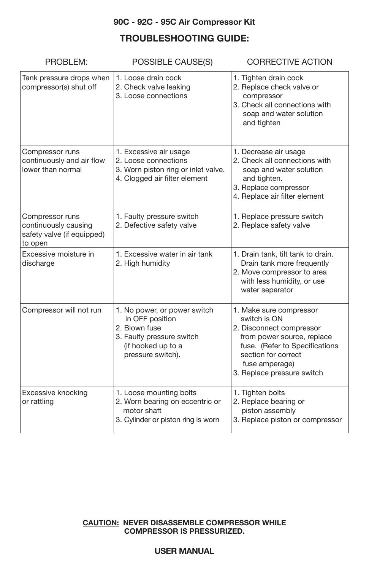# **90C - 92C - 95C Air Compressor Kit**

# **TROUBLESHOOTING GUIDE:**

| PROBLEM:                                                                                                                                                            | POSSIBLE CAUSE(S)                                                                                                      | <b>CORRECTIVE ACTION</b>                                                                                                                                                                                   |
|---------------------------------------------------------------------------------------------------------------------------------------------------------------------|------------------------------------------------------------------------------------------------------------------------|------------------------------------------------------------------------------------------------------------------------------------------------------------------------------------------------------------|
| Tank pressure drops when<br>compressor(s) shut off                                                                                                                  | 1. Loose drain cock<br>2. Check valve leaking<br>3. Loose connections                                                  | 1. Tighten drain cock<br>2. Replace check valve or<br>compressor<br>3. Check all connections with<br>soap and water solution<br>and tighten                                                                |
| Compressor runs<br>continuously and air flow<br>lower than normal                                                                                                   | 1. Excessive air usage<br>2. Loose connections<br>3. Worn piston ring or inlet valve.<br>4. Clogged air filter element | 1. Decrease air usage<br>2. Check all connections with<br>soap and water solution<br>and tighten.<br>3. Replace compressor<br>4. Replace air filter element                                                |
| Compressor runs<br>continuously causing<br>safety valve (if equipped)<br>to open                                                                                    | 1. Faulty pressure switch<br>2. Defective safety valve                                                                 | 1. Replace pressure switch<br>2. Replace safety valve                                                                                                                                                      |
| Excessive moisture in<br>discharge                                                                                                                                  | 1. Excessive water in air tank<br>2. High humidity                                                                     | 1. Drain tank, tilt tank to drain.<br>Drain tank more frequently<br>2. Move compressor to area<br>with less humidity, or use<br>water separator                                                            |
| Compressor will not run<br>1. No power, or power switch<br>in OFF position<br>2. Blown fuse<br>3. Faulty pressure switch<br>(if hooked up to a<br>pressure switch). |                                                                                                                        | 1. Make sure compressor<br>switch is ON<br>2. Disconnect compressor<br>from power source, replace<br>fuse. (Refer to Specifications<br>section for correct<br>fuse amperage)<br>3. Replace pressure switch |
| Excessive knocking<br>or rattling                                                                                                                                   | 1. Loose mounting bolts<br>2. Worn bearing on eccentric or<br>motor shaft<br>3. Cylinder or piston ring is worn        | 1. Tighten bolts<br>2. Replace bearing or<br>piston assembly<br>3. Replace piston or compressor                                                                                                            |

## **CAUTION: NEVER DISASSEMBLE COMPRESSOR WHILE COMPRESSOR IS PRESSURIZED.**